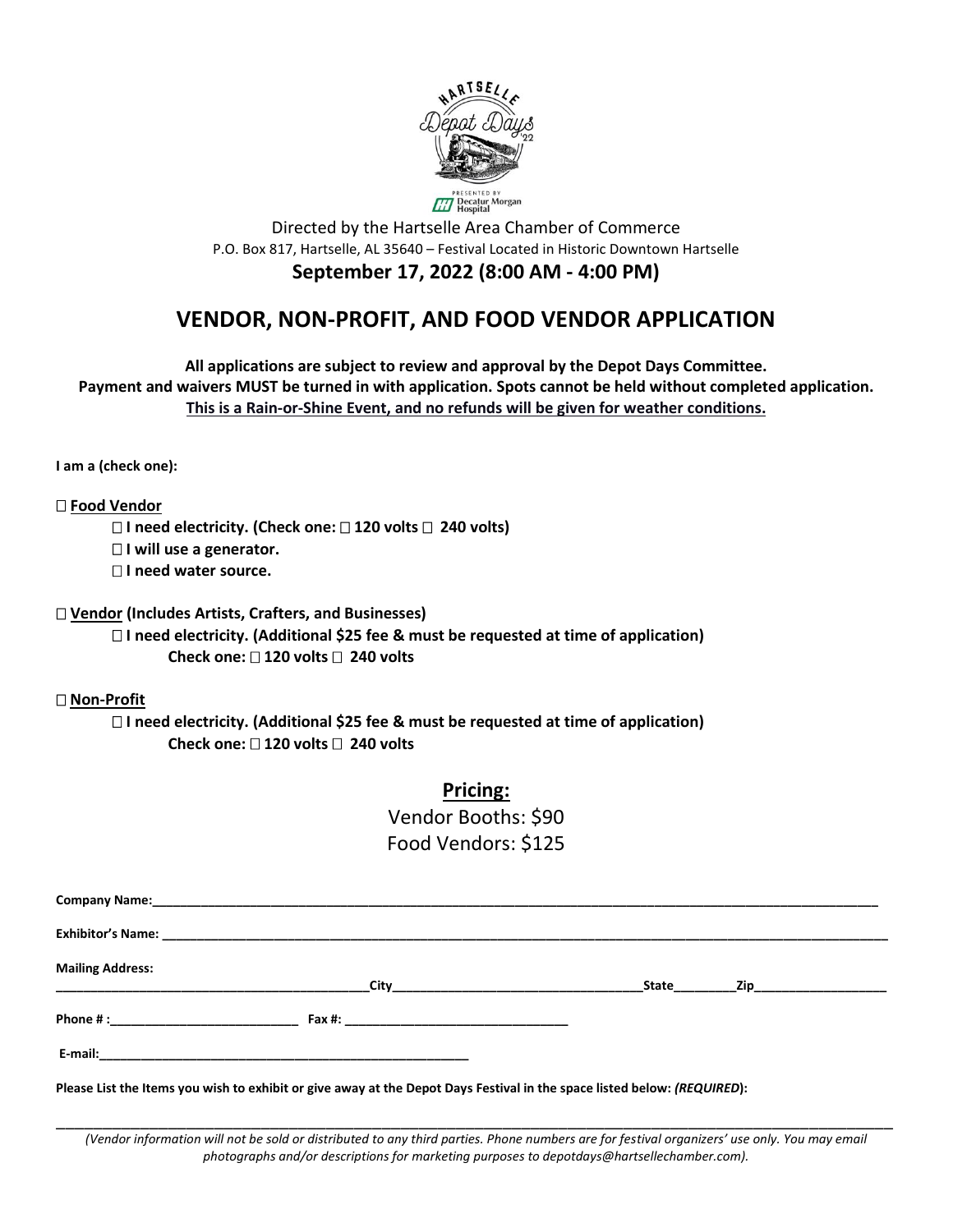

Directed by the Hartselle Area Chamber of Commerce P.O. Box 817, Hartselle, AL 35640 – Festival Located in Historic Downtown Hartselle **September 17, 2022 (8:00 AM - 4:00 PM)**

## **VENDOR, NON-PROFIT, AND FOOD VENDOR APPLICATION**

**All applications are subject to review and approval by the Depot Days Committee. Payment and waivers MUST be turned in with application. Spots cannot be held without completed application. This is a Rain-or-Shine Event, and no refunds will be given for weather conditions.**

**I am a (check one):**

**Food Vendor**

**I need electricity. (Check one: 120 volts 240 volts)** 

**I will use a generator.**

**I need water source.** 

**Vendor (Includes Artists, Crafters, and Businesses)** 

 **I need electricity. (Additional \$25 fee & must be requested at time of application) Check one: 120 volts 240 volts** 

**Non-Profit**

 **I need electricity. (Additional \$25 fee & must be requested at time of application) Check one: 120 volts 240 volts** 

**Pricing:**

Vendor Booths: \$90 Food Vendors: \$125

| <b>Mailing Address:</b> | City <b>Service Community</b> | State | Zip______________________ |  |
|-------------------------|-------------------------------|-------|---------------------------|--|
|                         |                               |       |                           |  |
|                         |                               |       |                           |  |

**Please List the Items you wish to exhibit or give away at the Depot Days Festival in the space listed below:** *(REQUIRED***):** 

\_\_\_\_\_\_\_\_\_\_\_\_\_\_\_\_\_\_\_\_\_\_\_\_\_\_\_\_\_\_\_\_\_\_\_\_\_\_\_\_\_\_\_\_\_\_\_\_\_\_\_\_\_\_\_\_\_\_\_\_\_\_\_\_\_\_\_\_\_\_\_\_\_\_\_\_\_\_\_\_\_\_\_\_\_\_\_\_\_\_ *(Vendor information will not be sold or distributed to any third parties. Phone numbers are for festival organizers' use only. You may email photographs and/or descriptions for marketing purposes to depotdays@hartsellechamber.com).*